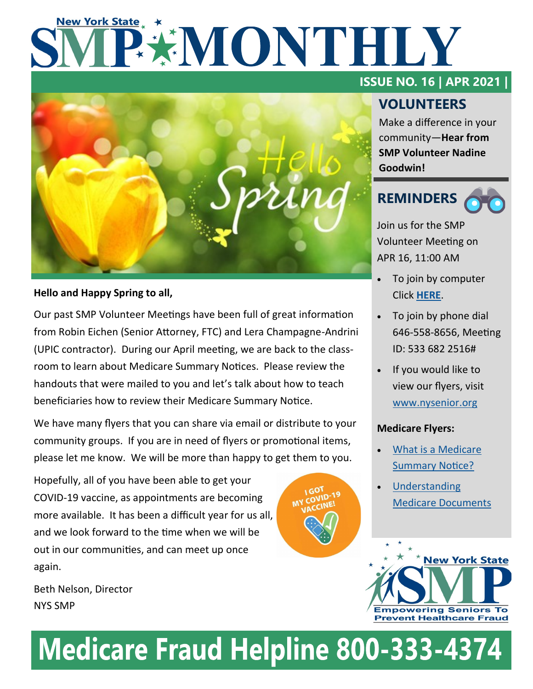# **New York State** PXMONTHLY



### **Hello and Happy Spring to all,**

Our past SMP Volunteer Meetings have been full of great information from Robin Eichen (Senior Attorney, FTC) and Lera Champagne-Andrini (UPIC contractor). During our April meeting, we are back to the classroom to learn about Medicare Summary Notices. Please review the handouts that were mailed to you and let's talk about how to teach beneficiaries how to review their Medicare Summary Notice.

We have many flyers that you can share via email or distribute to your community groups. If you are in need of flyers or promotional items, please let me know. We will be more than happy to get them to you.

Hopefully, all of you have been able to get your COVID-19 vaccine, as appointments are becoming more available. It has been a difficult year for us all, and we look forward to the time when we will be out in our communities, and can meet up once again.

Beth Nelson, Director NYS SMP

## **ISSUE NO. 16 | APR 2021 |**

# **VOLUNTEERS**

Make a difference in your community—**Hear from SMP Volunteer Nadine Goodwin!**

# **REMINDERS**

Join us for the SMP Volunteer Meeting on APR 16, 11:00 AM

- To join by computer Click **[HERE](https://us02web.zoom.us/j/5336822516)**.
- To join by phone dial 646-558-8656, Meeting ID: 533 682 2516#
- If you would like to view our flyers, visit [www.nysenior.org](http://www.nysenior.org)

### **Medicare Flyers:**

- [What is a Medicare](https://www.dropbox.com/s/ezu8l1gwork4pav/What%20is%20a%20Medicare%20Summary%20Notice%20%28updated%20version%29.pub.pdf?dl=0)  [Summary Notice?](https://www.dropbox.com/s/ezu8l1gwork4pav/What%20is%20a%20Medicare%20Summary%20Notice%20%28updated%20version%29.pub.pdf?dl=0)
- **Understanding** [Medicare Documents](https://www.dropbox.com/s/cuvh7nmlf6h80ya/Understanding%20Medicare%20Documents%20Flyer%20for%20Volunteers%20%28SW%20intro%29.pub.pdf?dl=0)



# **Medicare Fraud Helpline 800-333-4374**